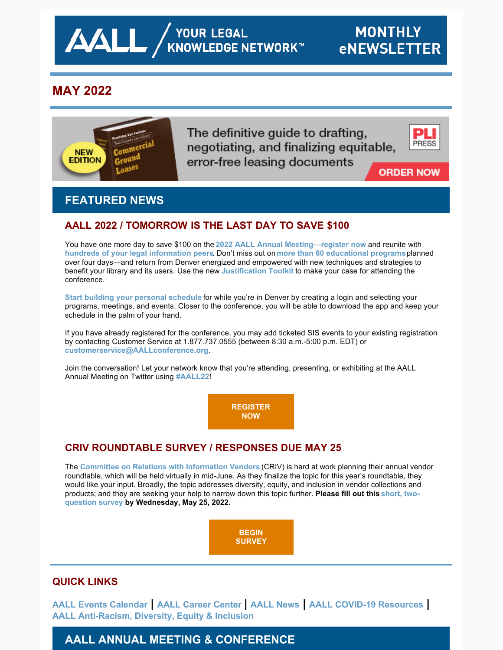

# **MAY 2022**



The definitive guide to drafting, negotiating, and finalizing equitable, error-free leasing documents



**ORDER NOW** 

# **FEATURED NEWS**

## **AALL 2022 / TOMORROW IS THE LAST DAY TO SAVE \$100**

You have one more day to save \$100 on the **[2022 AALL Annual Meeting](https://www.aallnet.org/conference/)**—**[register now](https://aallconference.org/registration/)** and reunite with **[hundreds of your legal information peers](https://eventmobi.com/aall2022/people/ef0c5398-586b-427d-b542-c1aa49688886)**. Don't miss out on **[more than 60 educational programs](https://eventmobi.com/aall2022/agenda/ce332473-491e-40be-b52d-91bdbcffa290/day/all)**planned over four days—and return from Denver energized and empowered with new techniques and strategies to benefit your library and its users. Use the new **[Justification Toolkit](https://www.aallnet.org/conference/attend/getting-boss-say-yes/)** to make your case for attending the conference.

**[Start building your personal schedule](https://eventmobi.com/aall2022/)** for while you're in Denver by creating a login and selecting your programs, meetings, and events. Closer to the conference, you will be able to download the app and keep your schedule in the palm of your hand.

If you have already registered for the conference, you may add ticketed SIS events to your existing registration by contacting Customer Service at 1.877.737.0555 (between 8:30 a.m.-5:00 p.m. EDT) or **[customerservice@AALLconference.org](mailto:customerservice@AALLconference.org)**.

Join the conversation! Let your network know that you're attending, presenting, or exhibiting at the AALL Annual Meeting on Twitter using **[#AALL22](https://twitter.com/search?q=AALL22&src=typed_query)**!

> **[REGISTER](https://aallconference.org/registration/) NOW**

## **CRIV ROUNDTABLE SURVEY / RESPONSES DUE MAY 25**

The **[Committee on Relations with Information Vendors](https://www.aallnet.org/about-us/who-we-are/committees-juries/committee-relations-information-vendors-criv/)** (CRIV) is hard at work planning their annual vendor roundtable, which will be held virtually in mid-June. As they finalize the topic for this year's roundtable, they would like your input. Broadly, the topic addresses diversity, equity, and inclusion in vendor collections and [products; and they are seeking your help to narrow down this topic further.](https://www.surveymonkey.com/r/JHN6TLH) **Please fill out this short, twoquestion survey by Wednesday, May 25, 2022.**



## **QUICK LINKS**

**[AALL Events Calendar](https://www.aallnet.org/forms/MeetingCalendar/) | [AALL Career Center](https://careers.aallnet.org/) | [AALL News](https://www.aallnet.org/about-us/press-room/news/) | [AALL COVID-19 Resources](https://www.aallnet.org/about-us/press-room/coronavirus/) | [AALL Anti-Racism, Diversity, Equity & Inclusion](https://www.aallnet.org/about-us/press-room/anti-racism-diversity-equity-inclusion/)**

# **AALL ANNUAL MEETING & CONFERENCE**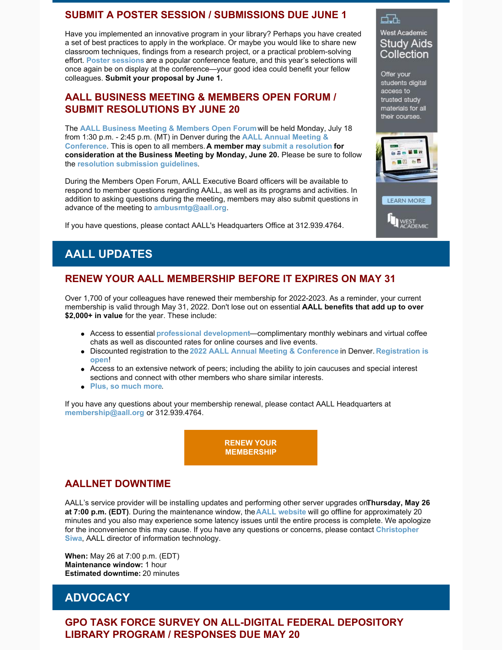#### **SUBMIT A POSTER SESSION / SUBMISSIONS DUE JUNE 1**

Have you implemented an innovative program in your library? Perhaps you have created a set of best practices to apply in the workplace. Or maybe you would like to share new classroom techniques, findings from a research project, or a practical problem-solving effort. **[Poster sessions](https://www.aallnet.org/conference/resources/call-poster-sessions/)** are a popular conference feature, and this year's selections will once again be on display at the conference—your good idea could benefit your fellow colleagues. **Submit your proposal by June 1.**

#### **AALL BUSINESS MEETING & MEMBERS OPEN FORUM / SUBMIT RESOLUTIONS BY JUNE 20**

The **[AALL Business Meeting & Members Open Forum](https://eventmobi.com/aall2022/agenda/00000000-0000-0000-0000-4147454e4441/1a79cf05-071f-4233-a9c5-7935db814c95)** will be held Monday, July 18 [from 1:30 p.m. - 2:45 p.m. \(MT\) in Denver during the](https://www.aallnet.org/conference/) **AALL Annual Meeting & Conference**. This is open to all members. **A member may [submit a resolution](https://www.aallnet.org/about-us/what-we-do/resolutions/resolution-submission-form/) for consideration at the Business Meeting by Monday, June 20.** Please be sure to follow the **[resolution submission guidelines](https://www.aallnet.org/about-us/what-we-do/resolutions/resolution-submission-form/resolution-submission-procedures/)**.

During the Members Open Forum, AALL Executive Board officers will be available to respond to member questions regarding AALL, as well as its programs and activities. In addition to asking questions during the meeting, members may also submit questions in advance of the meeting to **[ambusmtg@aall.org](mailto:ambusmtg@aall.org)**.

If you have questions, please contact AALL's Headquarters Office at 312.939.4764.

#### **West Academic** Study Aids Collection

d.h.

Offer your students digital access to trusted study materials for all their courses.



# **AALL UPDATES**

## **RENEW YOUR AALL MEMBERSHIP BEFORE IT EXPIRES ON MAY 31**

Over 1,700 of your colleagues have renewed their membership for 2022-2023. As a reminder, your current membership is valid through May 31, 2022. Don't lose out on essential **AALL benefits that add up to over \$2,000+ in value** for the year. These include:

- Access to essential **[professional development](https://elearning.aallnet.org/)**—complimentary monthly webinars and virtual coffee chats as well as discounted rates for online courses and live events.
- Discounted registration to the **[2022 AALL Annual Meeting & Conferenc](https://www.aallnet.org/conference/)[e](https://aallconference.org/registration/)** in Denver. **Registration is open**!
- Access to an extensive network of peers; including the ability to join caucuses and special interest sections and connect with other members who share similar interests.
- **[Plus, so much more](https://www.aallnet.org/community/membership/benefits/)**.

If you have any questions about your membership renewal, please contact AALL Headquarters at **[membership@aall.org](mailto:membership@aall.org)** or 312.939.4764.

> **[RENEW YOUR](https://www.aallnet.org/community/membership/join-renew/) MEMBERSHIP**

## **AALLNET DOWNTIME**

AALL's service provider will be installing updates and performing other server upgrades on**Thursday, May 26 at 7:00 p.m. (EDT)**. During the maintenance window, the **[AALL website](https://www.aallnet.org/)** will go offline for approximately 20 minutes and you also may experience some latency issues until the entire process is complete. We apologize [for the inconvenience this may cause. If you have any questions or concerns, please contact](mailto:csiwa@aall.org) **Christopher Siwa**, AALL director of information technology.

**When:** May 26 at 7:00 p.m. (EDT) **Maintenance window:** 1 hour **Estimated downtime:** 20 minutes

# **ADVOCACY**

### **GPO TASK FORCE SURVEY ON ALL-DIGITAL FEDERAL DEPOSITORY LIBRARY PROGRAM / RESPONSES DUE MAY 20**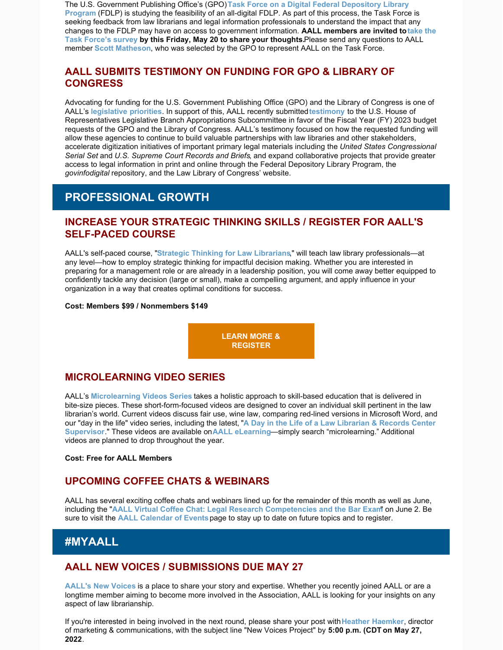The U.S. Government Publishing Office's (GPO) **Task Force on a Digital Federal Depository Library Program** [\(FDLP\) is studying the feasibility of an all-digital FDLP. As part of this process, the Task Force](https://www.fdlp.gov/project/task-force-digital-federal-depository-library-program) is seeking feedback from law librarians and legal information professionals to understand the impact that any changes to the FDLP may have on access to government information. **AALL members are invited to take the [Task Force's survey by this Friday, May 20 to share your thoughts.](https://docs.google.com/forms/d/e/1FAIpQLSdGz2_0zqNLvEojRJWzm70u0JxxqDwuxAwLjxg_D_6t297j7Q/viewform)** Please send any questions to AALL member **[Scott Matheson](https://www.aallnet.org/members_only/membership/IndividualFormPublicMembers/detail?id=201000F674E)**, who was selected by the GPO to represent AALL on the Task Force.

### **AALL SUBMITS TESTIMONY ON FUNDING FOR GPO & LIBRARY OF CONGRESS**

Advocating for funding for the U.S. Government Publishing Office (GPO) and the Library of Congress is one of AALL's **[legislative priorities](https://www.aallnet.org/advocacy/government-relations/federal-issues/legislative-priorities/)**. In support of this, AALL recently submitted **[testimony](https://www.aallnet.org/wp-content/uploads/2022/05/AALL-House-Testimony-Leg-Branch-05162022.pdf)** to the U.S. House of Representatives Legislative Branch Appropriations Subcommittee in favor of the Fiscal Year (FY) 2023 budget requests of the GPO and the Library of Congress. AALL's testimony focused on how the requested funding will allow these agencies to continue to build valuable partnerships with law libraries and other stakeholders, accelerate digitization initiatives of important primary legal materials including the *United States Congressional Serial Set* and *U.S. Supreme Court Records and Briefs*, and expand collaborative projects that provide greater access to legal information in print and online through the Federal Depository Library Program, the *govinfodigital* repository, and the Law Library of Congress' website.

## **PROFESSIONAL GROWTH**

#### **INCREASE YOUR STRATEGIC THINKING SKILLS / REGISTER FOR AALL'S SELF-PACED COURSE**

AALL's self-paced course, "**[Strategic Thinking for Law Librarians](https://elearning.aallnet.org/products/strategic-thinking-for-law-librarians)**," will teach law library professionals—at any level—how to employ strategic thinking for impactful decision making. Whether you are interested in preparing for a management role or are already in a leadership position, you will come away better equipped to confidently tackle any decision (large or small), make a compelling argument, and apply influence in your organization in a way that creates optimal conditions for success.

#### **Cost: Members \$99 / Nonmembers \$149**

**[LEARN MORE &](https://elearning.aallnet.org/products/strategic-thinking-for-law-librarians) REGISTER**

### **MICROLEARNING VIDEO SERIES**

AALL's **[Microlearning Videos Series](https://elearning.aallnet.org/catalog#form_type=catalog-filter&page=1&webinar_type=0&product_type%5B%5D=2467&date%5Bstart%5D=&date%5Bend%5D=&keywords=&sort_by=new_to_old)** takes a holistic approach to skill-based education that is delivered in bite-size pieces. These short-form-focused videos are designed to cover an individual skill pertinent in the law librarian's world. Current videos discuss fair use, wine law, comparing red-lined versions in Microsoft Word, and our "day in the life" video series, including the latest[,](https://elearning.aallnet.org/products/microlearning-video-series-a-day-in-the-life-of-a-technical-services-librarian) "**[A Day in the Life of a Law Librarian & Records Center](https://elearning.aallnet.org/products/microlearning-video-series-a-day-in-the-life-of-a-law-librarian-records-center-supervisor) Supervisor**." These videos are available on **[AALL eLearning](https://elearning.aallnet.org/)**—simply search "microlearning." Additional videos are planned to drop throughout the year.

#### **Cost: Free for AALL Members**

### **UPCOMING COFFEE CHATS & WEBINARS**

AALL has several exciting coffee chats and webinars lined up for the remainder of this month as well as June, including the "**[AALL Virtual Coffee Chat: Legal Research Competencies and the Bar Exam](https://elearning.aallnet.org/products/virtual-coffee-chat-legal-research-competencies-and-the-bar-exam)**" on June 2. Be sure to visit the **[AALL Calendar of Events](https://www.aallnet.org/forms/MeetingCalendar/)** page to stay up to date on future topics and to register.

### **#MYAALL**

#### **AALL NEW VOICES / SUBMISSIONS DUE MAY 27**

**[AALL's New Voices](https://www.aallnet.org/community/membership/meet-our-members/newvoices/)** is a place to share your story and expertise. Whether you recently joined AALL or are a longtime member aiming to become more involved in the Association, AALL is looking for your insights on any aspect of law librarianship.

If you're interested in being involved in the next round, please share your post with**[Heather Haemker](mailto:hhaemker@aall.org)**, director of marketing & communications, with the subject line "New Voices Project" by **5:00 p.m. (CDT on May 27, 2022**.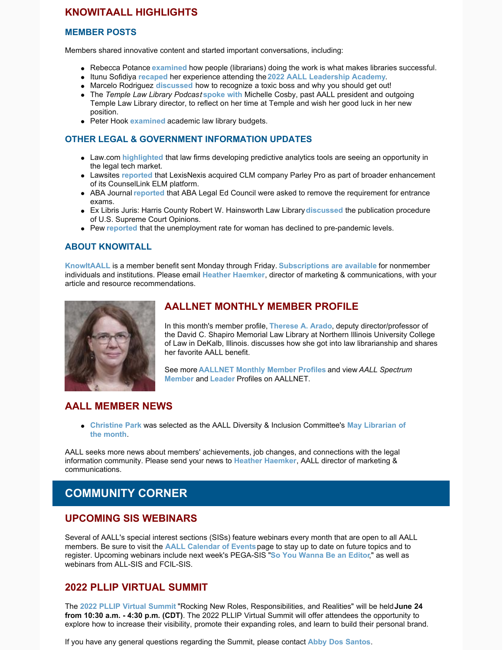### **KNOWITAALL HIGHLIGHTS**

#### **MEMBER POSTS**

Members shared innovative content and started important conversations, including:

- Rebecca Potance **[examined](https://notesbetweenus.com/2022/05/09/libraries-work-because-people-do/)** how people (librarians) doing the work is what makes libraries successful.
- Itunu Sofidiya **[recaped](https://lispsr.wordpress.com/2022/05/10/2022-leadership-academy/)** her experience attending the **[2022 AALL Leadership Academy](https://www.aallnet.org/education-training/in-person-programs-seminars/leadership-academy/)**.
- Marcelo Rodriguez **[discussed](https://notesbetweenus.com/2022/04/25/have-a-toxic-boss-get-out/)** how to recognize a toxic boss and why you should get out!
- The *Temple Law Library Podcas*t **[spoke with](https://open.spotify.com/episode/77tyyKJce1iDXVikU9yDgW)** Michelle Cosby, past AALL president and outgoing Temple Law Library director, to reflect on her time at Temple and wish her good luck in her new position.
- **•** Peter Hook *[examined](https://ripslawlibrarian.wordpress.com/2022/04/29/follow-the-trend-invest-in-professionals/)* academic law library budgets.

#### **OTHER LEGAL & GOVERNMENT INFORMATION UPDATES**

- Law.com **[highlighted](https://t.co/51575yoygh)** that law firms developing predictive analytics tools are seeing an opportunity in the legal tech market.
- Lawsites **[reported](https://www.lawnext.com/2022/05/lexisnexis-acquires-clm-company-parley-pro-as-part-of-broader-enhancement-of-its-counsellink-elm-platform.html)** that LexisNexis acquired CLM company Parley Pro as part of broader enhancement of its CounselLink ELM platform.
- ABA Journal **[reported](https://www.abajournal.com/web/article/council-of-legal-ed-again-asked-to-remove-requirement-for-entrance-exams/)** that ABA Legal Ed Council were asked to remove the requirement for entrance exams.
- Ex Libris Juris: Harris County Robert W. Hainsworth Law Library **[discussed](https://www.harriscountylawlibrary.org/ex-libris-juris/2022/5/6/the-publication-procedure-of-us-supreme-court-opinions)** the publication procedure of U.S. Supreme Court Opinions.
- Pew **[reported](https://www.pewtrusts.org/en/research-and-analysis/blogs/stateline/2022/05/06/unemployment-rate-for-women-declines-to-prepandemic-level)** that the unemployment rate for woman has declined to pre-pandemic levels.

#### **ABOUT KNOWITALL**

**[KnowItAALL](https://www.aallnet.org/resources-publications/publications/knowitaall/)** is a member benefit sent Monday through Friday. **[Subscriptions are available](https://www.aallnet.org/resources-publications/publications/knowitaall/)** for nonmember individuals and institutions. Please email **[Heather Haemker](mailto:hhaemker@aall.org)**, director of marketing & communications, with your article and resource recommendations.



#### **AALLNET MONTHLY MEMBER PROFILE**

In this month's member profile, **[Therese A. Arado](https://www.aallnet.org/member-profile/therese-a-arado/)**, deputy director/professor of the David C. Shapiro Memorial Law Library at Northern Illinois University College of Law in DeKalb, Illinois. discusses how she got into law librarianship and shares her favorite AALL benefit.

See more **[AALLNET Monthly Member Profiles](https://www.aallnet.org/community/membership/meet-our-members/aallnet-member-profiles/)** and view *AALL Spectrum* **[Member](https://www.aallnet.org/community/membership/meet-our-members/aall-spectrum-member-profiles/)** and **[Leader](https://www.aallnet.org/community/membership/meet-our-members/aall-spectrum-leader-profiles/)** Profiles on AALLNET.

### **AALL MEMBER NEWS**

**[Christine Park](https://www.aallnet.org/members_only/membership/IndividualFormPublicMembers/detail?id=1CCAF00000074)** [was selected as the AALL Diversity & Inclusion Committee's](https://community.aallnet.org/communities/community-home/digestviewer/viewthread?MessageKey=0f7c0a7e-94a4-4503-9477-87481323dd83&CommunityKey=8acaa122-bf21-4f8d-8f76-92183d6f3ebd&bm=0f7c0a7e-94a4-4503-9477-87481323dd83#bm0f7c0a7e-94a4-4503-9477-87481323dd83) **May Librarian of the month**.

AALL seeks more news about members' achievements, job changes, and connections with the legal information community. Please send your news to **[Heather Haemker](mailto:hhaemker@aall.org)**, AALL director of marketing & communications.

# **COMMUNITY CORNER**

#### **UPCOMING SIS WEBINARS**

Several of AALL's special interest sections (SISs) feature webinars every month that are open to all AALL members. Be sure to visit the **[AALL Calendar of Events](https://www.aallnet.org/forms/MeetingCalendar/)** page to stay up to date on future topics and to register. Upcoming webinars include next week's PEGA-SIS "**[So You Wanna Be an Editor](https://elearning.aallnet.org/products/live-interview-series-so-you-wanna-be-an-editor#tab-product_tab_overview)**," as well as webinars from ALL-SIS and FCIL-SIS.

#### **2022 PLLIP VIRTUAL SUMMIT**

The **[2022 PLLIP Virtual Summit](https://pllsummit.wordpress.com/2022-pllip-summit/)** "Rocking New Roles, Responsibilities, and Realities" will be held **June 24 from 10:30 a.m. - 4:30 p.m. (CDT)**. The 2022 PLLIP Virtual Summit will offer attendees the opportunity to explore how to increase their visibility, promote their expanding roles, and learn to build their personal brand.

If you have any general questions regarding the Summit, please contact **[Abby Dos Santos](mailto:adossantos@capdale.com)**.